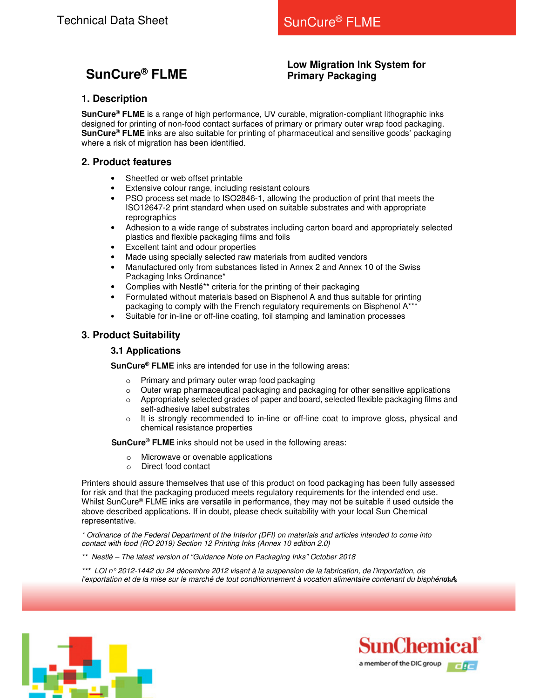# **SunCure® FLME**

## **Low Migration Ink System for Primary Packaging**

## **1. Description**

**SunCure® FLME** is a range of high performance, UV curable, migration-compliant lithographic inks designed for printing of non-food contact surfaces of primary or primary outer wrap food packaging. **SunCure® FLME** inks are also suitable for printing of pharmaceutical and sensitive goods' packaging where a risk of migration has been identified.

## **2. Product features**

- Sheetfed or web offset printable
- **Extensive colour range, including resistant colours**
- PSO process set made to ISO2846-1, allowing the production of print that meets the ISO12647-2 print standard when used on suitable substrates and with appropriate reprographics
- Adhesion to a wide range of substrates including carton board and appropriately selected plastics and flexible packaging films and foils
- Excellent taint and odour properties
- Made using specially selected raw materials from audited vendors
- Manufactured only from substances listed in Annex 2 and Annex 10 of the Swiss Packaging Inks Ordinance\*
- Complies with Nestlé\*\* criteria for the printing of their packaging
- Formulated without materials based on Bisphenol A and thus suitable for printing packaging to comply with the French regulatory requirements on Bisphenol  $A^*$
- Suitable for in-line or off-line coating, foil stamping and lamination processes

### **3. Product Suitability**

#### **3.1 Applications**

**SunCure® FLME** inks are intended for use in the following areas:

- o Primary and primary outer wrap food packaging
- o Outer wrap pharmaceutical packaging and packaging for other sensitive applications
- o Appropriately selected grades of paper and board, selected flexible packaging films and self-adhesive label substrates
- $\circ$  It is strongly recommended to in-line or off-line coat to improve gloss, physical and chemical resistance properties

**SunCure® FLME** inks should not be used in the following areas:

- o Microwave or ovenable applications
- o Direct food contact

Printers should assure themselves that use of this product on food packaging has been fully assessed for risk and that the packaging produced meets regulatory requirements for the intended end use. Whilst SunCure® FLME inks are versatile in performance, they may not be suitable if used outside the above described applications. If in doubt, please check suitability with your local Sun Chemical representative.

\* Ordinance of the Federal Department of the Interior (DFI) on materials and articles intended to come into contact with food (RO 2019) Section 12 Printing Inks (Annex 10 edition 2.0)

**\*\*** Nestlé – The latest version of "Guidance Note on Packaging Inks" October 2018

l'exportation et de la mise sur le marché de tout conditionnement à vocation alimentaire contenant du bisphénole **\*\*\*** LOI n° 2012-1442 du 24 décembre 2012 visant à la suspension de la fabrication, de l'importation, de



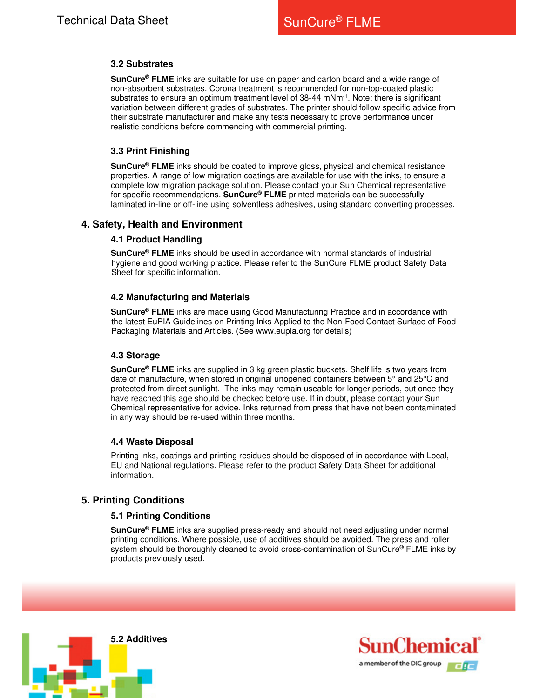#### **3.2 Substrates**

**SunCure® FLME** inks are suitable for use on paper and carton board and a wide range of non-absorbent substrates. Corona treatment is recommended for non-top-coated plastic substrates to ensure an optimum treatment level of 38-44 mNm<sup>-1</sup>. Note: there is significant variation between different grades of substrates. The printer should follow specific advice from their substrate manufacturer and make any tests necessary to prove performance under realistic conditions before commencing with commercial printing.

#### **3.3 Print Finishing**

**SunCure® FLME** inks should be coated to improve gloss, physical and chemical resistance properties. A range of low migration coatings are available for use with the inks, to ensure a complete low migration package solution. Please contact your Sun Chemical representative for specific recommendations. **SunCure® FLME** printed materials can be successfully laminated in-line or off-line using solventless adhesives, using standard converting processes.

#### **4. Safety, Health and Environment**

#### **4.1 Product Handling**

**SunCure® FLME** inks should be used in accordance with normal standards of industrial hygiene and good working practice. Please refer to the SunCure FLME product Safety Data Sheet for specific information.

#### **4.2 Manufacturing and Materials**

**SunCure® FLME** inks are made using Good Manufacturing Practice and in accordance with the latest EuPIA Guidelines on Printing Inks Applied to the Non-Food Contact Surface of Food Packaging Materials and Articles. (See www.eupia.org for details)

#### **4.3 Storage**

**SunCure® FLME** inks are supplied in 3 kg green plastic buckets. Shelf life is two years from date of manufacture, when stored in original unopened containers between 5° and 25°C and protected from direct sunlight. The inks may remain useable for longer periods, but once they have reached this age should be checked before use. If in doubt, please contact your Sun Chemical representative for advice. Inks returned from press that have not been contaminated in any way should be re-used within three months.

#### **4.4 Waste Disposal**

Printing inks, coatings and printing residues should be disposed of in accordance with Local, EU and National regulations. Please refer to the product Safety Data Sheet for additional information.

#### **5. Printing Conditions**

#### **5.1 Printing Conditions**

**SunCure® FLME** inks are supplied press-ready and should not need adjusting under normal printing conditions. Where possible, use of additives should be avoided. The press and roller system should be thoroughly cleaned to avoid cross-contamination of SunCure® FLME inks by products previously used.



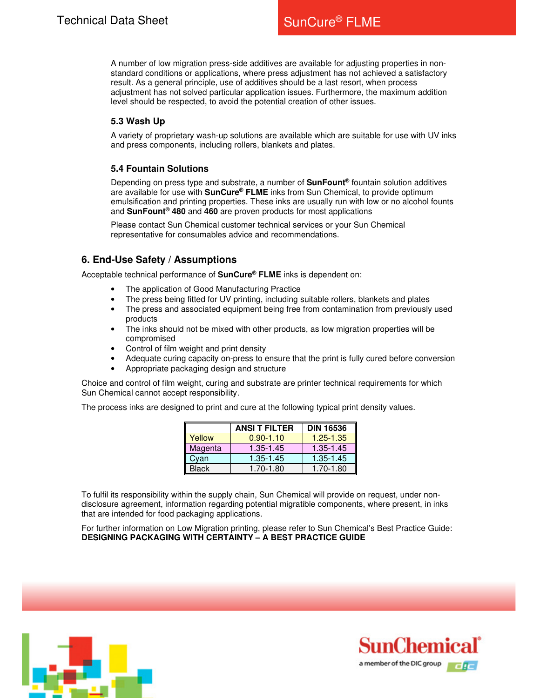A number of low migration press-side additives are available for adjusting properties in nonstandard conditions or applications, where press adjustment has not achieved a satisfactory result. As a general principle, use of additives should be a last resort, when process adjustment has not solved particular application issues. Furthermore, the maximum addition level should be respected, to avoid the potential creation of other issues.

#### **5.3 Wash Up**

A variety of proprietary wash-up solutions are available which are suitable for use with UV inks and press components, including rollers, blankets and plates.

#### **5.4 Fountain Solutions**

Depending on press type and substrate, a number of **SunFount®** fountain solution additives are available for use with **SunCure® FLME** inks from Sun Chemical, to provide optimum emulsification and printing properties. These inks are usually run with low or no alcohol founts and **SunFount® 480** and **460** are proven products for most applications

Please contact Sun Chemical customer technical services or your Sun Chemical representative for consumables advice and recommendations.

## **6. End-Use Safety / Assumptions**

Acceptable technical performance of **SunCure® FLME** inks is dependent on:

- The application of Good Manufacturing Practice
- The press being fitted for UV printing, including suitable rollers, blankets and plates
- The press and associated equipment being free from contamination from previously used products
- The inks should not be mixed with other products, as low migration properties will be compromised
- Control of film weight and print density
- Adequate curing capacity on-press to ensure that the print is fully cured before conversion
- Appropriate packaging design and structure

Choice and control of film weight, curing and substrate are printer technical requirements for which Sun Chemical cannot accept responsibility.

The process inks are designed to print and cure at the following typical print density values.

|              | <b>ANSI T FILTER</b> | <b>DIN 16536</b> |  |
|--------------|----------------------|------------------|--|
| Yellow       | $0.90 - 1.10$        | $1.25 - 1.35$    |  |
| Magenta      | 1.35-1.45            | $1.35 - 1.45$    |  |
| Cvan         | 1.35-1.45            | 1.35-1.45        |  |
| <b>Black</b> | 1.70-1.80            | 1.70-1.80        |  |

To fulfil its responsibility within the supply chain, Sun Chemical will provide on request, under nondisclosure agreement, information regarding potential migratible components, where present, in inks that are intended for food packaging applications.

For further information on Low Migration printing, please refer to Sun Chemical's Best Practice Guide: **DESIGNING PACKAGING WITH CERTAINTY – A BEST PRACTICE GUIDE**